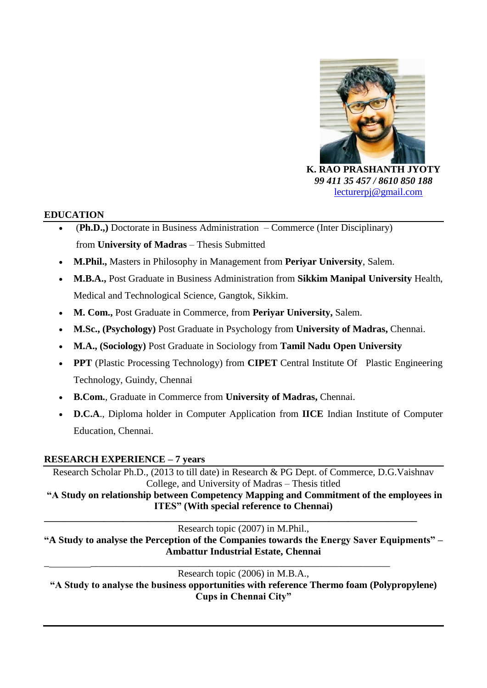

 *99 411 35 457 / 8610 850 188* [lecturerpj@gmail.com](mailto:lecturerpj@gmail.com)

#### **EDUCATION**

- (**Ph.D.,)** Doctorate in Business Administration Commerce (Inter Disciplinary) from **University of Madras** – Thesis Submitted
- **M.Phil.,** Masters in Philosophy in Management from **Periyar University**, Salem.
- **M.B.A.,** Post Graduate in Business Administration from **Sikkim Manipal University** Health, Medical and Technological Science, Gangtok, Sikkim.
- **M. Com.,** Post Graduate in Commerce, from **Periyar University,** Salem.
- **M.Sc., (Psychology)** Post Graduate in Psychology from **University of Madras,** Chennai.
- **M.A., (Sociology)** Post Graduate in Sociology from **Tamil Nadu Open University**
- **PPT** (Plastic Processing Technology) from **CIPET** Central Institute Of Plastic Engineering Technology, Guindy, Chennai
- **B.Com.**, Graduate in Commerce from **University of Madras,** Chennai.
- **D.C.A**., Diploma holder in Computer Application from **IICE** Indian Institute of Computer Education, Chennai.

#### **RESEARCH EXPERIENCE – 7 years**

Research Scholar Ph.D., (2013 to till date) in Research & PG Dept. of Commerce, D.G.Vaishnav College, and University of Madras – Thesis titled

**"A Study on relationship between Competency Mapping and Commitment of the employees in ITES" (With special reference to Chennai) \_\_\_\_\_\_\_\_\_\_\_\_\_\_\_\_\_\_\_\_\_\_\_\_\_\_\_\_\_\_\_\_\_\_\_\_\_\_\_\_\_\_\_\_\_\_\_\_\_\_\_\_\_\_\_\_\_\_\_\_\_\_\_\_\_\_\_\_\_\_\_\_\_\_\_\_**

Research topic (2007) in M.Phil.,

**"A Study to analyse the Perception of the Companies towards the Energy Saver Equipments" – Ambattur Industrial Estate, Chennai** \_ \_\_\_\_\_\_\_\_\_\_\_\_\_\_\_\_\_\_\_\_\_\_\_\_\_\_\_\_\_\_\_\_\_\_\_\_\_\_\_\_\_\_\_\_\_\_\_\_\_\_\_\_\_\_\_\_\_\_\_\_\_

Research topic (2006) in M.B.A.,

**"A Study to analyse the business opportunities with reference Thermo foam (Polypropylene) Cups in Chennai City"**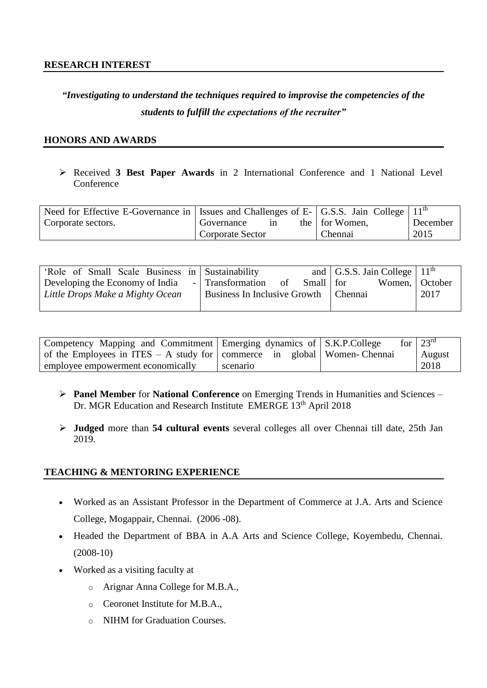# *"Investigating to understand the techniques required to improvise the competencies of the students to fulfill the expectations of the recruiter"*

#### **HONORS AND AWARDS**

 Received **3 Best Paper Awards** in 2 International Conference and 1 National Level **Conference** 

| Need for Effective E-Governance in   Issues and Challenges of E- $\vert$ G.S.S. Jain College $\vert$ 11 <sup>th</sup> |                         |    |                |          |
|-----------------------------------------------------------------------------------------------------------------------|-------------------------|----|----------------|----------|
| Corporate sectors.                                                                                                    | Governance              | 1n | the for Women, | December |
|                                                                                                                       | <b>Corporate Sector</b> |    | Chennai        | 2015     |

| 'Role of Small Scale Business in Sustainability |  |                              |    |             |  | and $\vert$ G.S.S. Jain College $\vert$ 11 <sup>th</sup> |  |
|-------------------------------------------------|--|------------------------------|----|-------------|--|----------------------------------------------------------|--|
| Developing the Economy of India                 |  | - Transformation             | of | Small   for |  | Women, October                                           |  |
| Little Drops Make a Mighty Ocean                |  | Business In Inclusive Growth |    | l Chennai   |  | 2017                                                     |  |
|                                                 |  |                              |    |             |  |                                                          |  |

| Competency Mapping and Commitment Emerging dynamics of S.K.P.College                    |          |  | for $\sqrt{23^{rd}}$ |
|-----------------------------------------------------------------------------------------|----------|--|----------------------|
| of the Employees in ITES – A study for $\vert$ commerce in global $\vert$ Women-Chennai |          |  | August               |
| employee empowerment economically                                                       | scenario |  | 2018                 |

- **Panel Member** for **National Conference** on Emerging Trends in Humanities and Sciences Dr. MGR Education and Research Institute EMERGE 13<sup>th</sup> April 2018
- **Judged** more than **54 cultural events** several colleges all over Chennai till date, 25th Jan 2019.

#### **TEACHING & MENTORING EXPERIENCE**

- Worked as an Assistant Professor in the Department of Commerce at J.A. Arts and Science College, Mogappair, Chennai. (2006 -08).
- Headed the Department of BBA in A.A Arts and Science College, Koyembedu, Chennai. (2008-10)
- Worked as a visiting faculty at
	- o Arignar Anna College for M.B.A.,
	- o Ceoronet Institute for M.B.A.,
	- o NIHM for Graduation Courses.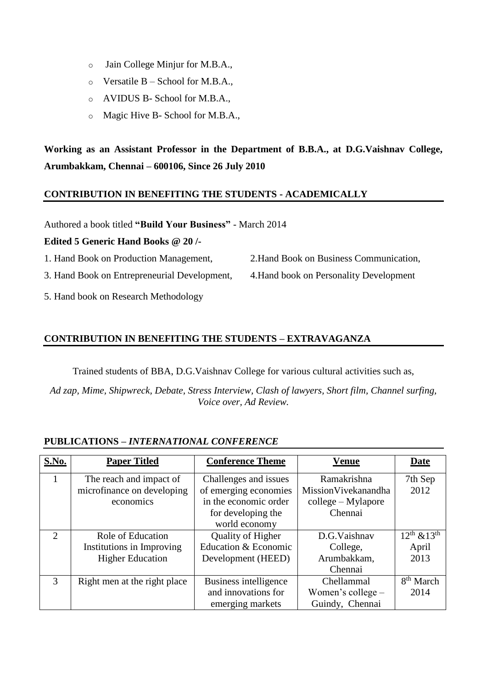- o Jain College Minjur for M.B.A.,
- $\circ$  Versatile B School for M.B.A.,
- o AVIDUS B- School for M.B.A.,
- o Magic Hive B- School for M.B.A.,

**Working as an Assistant Professor in the Department of B.B.A., at D.G.Vaishnav College, Arumbakkam, Chennai – 600106, Since 26 July 2010**

#### **CONTRIBUTION IN BENEFITING THE STUDENTS - ACADEMICALLY**

Authored a book titled **"Build Your Business"** - March 2014

#### **Edited 5 Generic Hand Books @ 20 /-**

1. Hand Book on Production Management, 2.Hand Book on Business Communication,

3. Hand Book on Entrepreneurial Development, 4.Hand book on Personality Development

- 5. Hand book on Research Methodology
- **CONTRIBUTION IN BENEFITING THE STUDENTS – EXTRAVAGANZA**

Trained students of BBA, D.G.Vaishnav College for various cultural activities such as,

*Ad zap, Mime, Shipwreck, Debate, Stress Interview, Clash of lawyers, Short film, Channel surfing, Voice over, Ad Review.*

#### **PUBLICATIONS –** *INTERNATIONAL CONFERENCE*

| <b>S.No.</b> | <b>Paper Titled</b>          | <b>Conference Theme</b> | <b>Venue</b>         | Date                  |
|--------------|------------------------------|-------------------------|----------------------|-----------------------|
|              | The reach and impact of      | Challenges and issues   | Ramakrishna          | 7th Sep               |
|              | microfinance on developing   | of emerging economies   | MissionVivekanandha  | 2012                  |
|              | economics                    | in the economic order   | $college - Mylapore$ |                       |
|              |                              | for developing the      | Chennai              |                       |
|              |                              | world economy           |                      |                       |
| 2            | Role of Education            | Quality of Higher       | D.G. Vaishnav        | $12^{th}$ & $13^{th}$ |
|              | Institutions in Improving    | Education & Economic    | College,             | April                 |
|              | <b>Higher Education</b>      | Development (HEED)      | Arumbakkam,          | 2013                  |
|              |                              |                         | Chennai              |                       |
| 3            | Right men at the right place | Business intelligence   | Chellammal           | 8 <sup>th</sup> March |
|              |                              | and innovations for     | Women's college $-$  | 2014                  |
|              |                              | emerging markets        | Guindy, Chennai      |                       |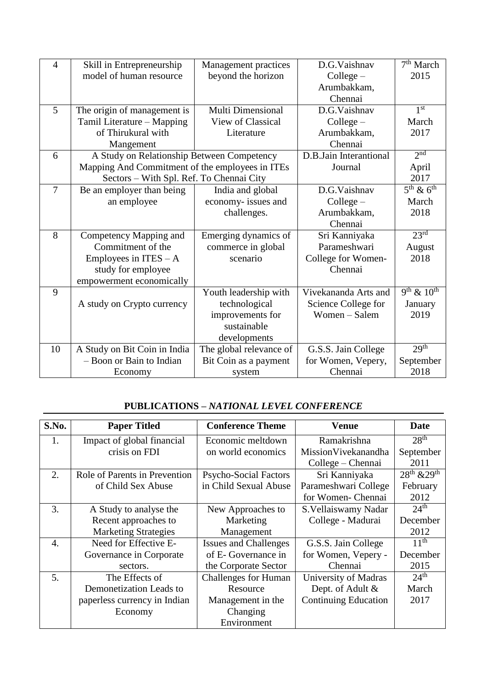| $\overline{4}$ | Skill in Entrepreneurship                       | Management practices    | D.G.Vaishnav           | 7 <sup>th</sup> March |
|----------------|-------------------------------------------------|-------------------------|------------------------|-----------------------|
|                | model of human resource                         | beyond the horizon      | $Collect -$            | 2015                  |
|                |                                                 |                         | Arumbakkam,            |                       |
|                |                                                 |                         | Chennai                |                       |
| 5              | The origin of management is                     | Multi Dimensional       | D.G.Vaishnav           | 1 <sup>st</sup>       |
|                | Tamil Literature - Mapping                      | View of Classical       | $Collect -$            | March                 |
|                | of Thirukural with                              | Literature              | Arumbakkam,            | 2017                  |
|                | Mangement                                       |                         | Chennai                |                       |
| 6              | A Study on Relationship Between Competency      |                         | D.B.Jain Interantional | 2 <sup>nd</sup>       |
|                | Mapping And Commitment of the employees in ITEs |                         | Journal                | April                 |
|                | Sectors - With Spl. Ref. To Chennai City        |                         |                        | 2017                  |
| $\overline{7}$ | Be an employer than being                       | India and global        | D.G.Vaishnav           | $5th$ & $6th$         |
|                | an employee                                     | economy- issues and     | $Collect -$            | March                 |
|                |                                                 | challenges.             | Arumbakkam,            | 2018                  |
|                |                                                 |                         | Chennai                |                       |
| 8              | Competency Mapping and                          | Emerging dynamics of    | Sri Kanniyaka          | 23 <sup>rd</sup>      |
|                | Commitment of the                               | commerce in global      | Parameshwari           | August                |
|                | Employees in $ITES - A$                         | scenario                | College for Women-     | 2018                  |
|                | study for employee                              |                         | Chennai                |                       |
|                | empowerment economically                        |                         |                        |                       |
| 9              |                                                 | Youth leadership with   | Vivekananda Arts and   | $9^{th}$ & $10^{th}$  |
|                | A study on Crypto currency                      | technological           | Science College for    | January               |
|                |                                                 | improvements for        | Women - Salem          | 2019                  |
|                |                                                 | sustainable             |                        |                       |
|                |                                                 | developments            |                        |                       |
| 10             | A Study on Bit Coin in India                    | The global relevance of | G.S.S. Jain College    | 29 <sup>th</sup>      |
|                | - Boon or Bain to Indian                        | Bit Coin as a payment   | for Women, Vepery,     | September             |
|                | Economy                                         | system                  | Chennai                | 2018                  |

### **PUBLICATIONS** *– NATIONAL LEVEL CONFERENCE*

| S.No. | <b>Paper Titled</b>           | <b>Conference Theme</b>      | Venue                       | Date             |
|-------|-------------------------------|------------------------------|-----------------------------|------------------|
| 1.    | Impact of global financial    | Economic meltdown            | Ramakrishna                 | 28 <sup>th</sup> |
|       | crisis on FDI                 | on world economics           | MissionVivekanandha         | September        |
|       |                               |                              | College – Chennai           | 2011             |
| 2.    | Role of Parents in Prevention | <b>Psycho-Social Factors</b> | Sri Kanniyaka               | $28th$ & $29th$  |
|       | of Child Sex Abuse            | in Child Sexual Abuse        | Parameshwari College        | February         |
|       |                               |                              | for Women-Chennai           | 2012             |
| 3.    | A Study to analyse the        | New Approaches to            | S. Vellaiswamy Nadar        | $24^{\text{th}}$ |
|       | Recent approaches to          | Marketing                    | College - Madurai           | December         |
|       | <b>Marketing Strategies</b>   | Management                   |                             | 2012             |
| 4.    | Need for Effective E-         | <b>Issues and Challenges</b> | G.S.S. Jain College         | 11 <sup>th</sup> |
|       | Governance in Corporate       | of E- Governance in          | for Women, Vepery -         | December         |
|       | sectors.                      | the Corporate Sector         | Chennai                     | 2015             |
| 5.    | The Effects of                | <b>Challenges for Human</b>  | University of Madras        | 24 <sup>th</sup> |
|       | Demonetization Leads to       | Resource                     | Dept. of Adult &            | March            |
|       | paperless currency in Indian  | Management in the            | <b>Continuing Education</b> | 2017             |
|       | Economy                       | Changing                     |                             |                  |
|       |                               | Environment                  |                             |                  |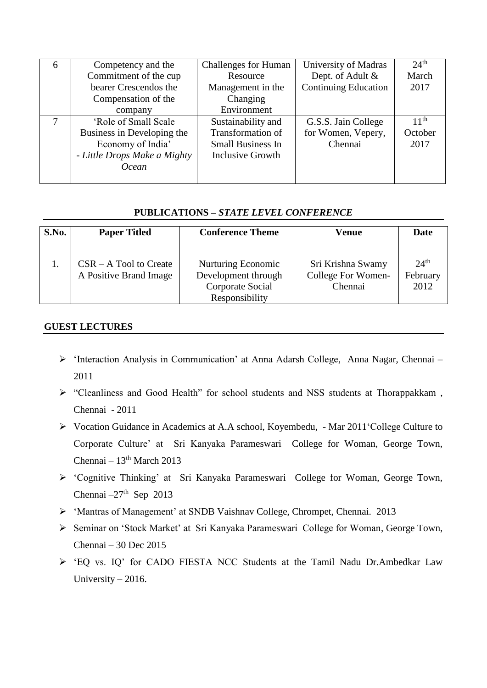| 6 | Competency and the           | <b>Challenges for Human</b> | University of Madras        | 24 <sup>th</sup> |
|---|------------------------------|-----------------------------|-----------------------------|------------------|
|   | Commitment of the cup        | Resource                    | Dept. of Adult &            | March            |
|   | bearer Crescendos the        | Management in the           | <b>Continuing Education</b> | 2017             |
|   | Compensation of the          | Changing                    |                             |                  |
|   | company                      | Environment                 |                             |                  |
|   | 'Role of Small Scale         | Sustainability and          | G.S.S. Jain College         | 11 <sup>th</sup> |
|   | Business in Developing the   | Transformation of           | for Women, Vepery,          | October          |
|   | Economy of India'            | <b>Small Business In</b>    | Chennai                     | 2017             |
|   | - Little Drops Make a Mighty | Inclusive Growth            |                             |                  |
|   | Ocean                        |                             |                             |                  |
|   |                              |                             |                             |                  |

#### **PUBLICATIONS –** *STATE LEVEL CONFERENCE*

| S.No. | <b>Paper Titled</b>      | <b>Conference Theme</b>   | Venue              | Date             |
|-------|--------------------------|---------------------------|--------------------|------------------|
|       | $CSR - A Tool$ to Create | <b>Nurturing Economic</b> | Sri Krishna Swamy  | 24 <sup>th</sup> |
|       | A Positive Brand Image   | Development through       | College For Women- | February         |
|       |                          | Corporate Social          | Chennai            | 2012             |
|       |                          | Responsibility            |                    |                  |

#### **GUEST LECTURES**

- ▶ 'Interaction Analysis in Communication' at Anna Adarsh College, Anna Nagar, Chennai 2011
- "Cleanliness and Good Health" for school students and NSS students at Thorappakkam , Chennai - 2011
- Vocation Guidance in Academics at A.A school, Koyembedu, Mar 2011'College Culture to Corporate Culture' at Sri Kanyaka Parameswari College for Woman, George Town, Chennai – 13<sup>th</sup> March 2013
- 'Cognitive Thinking' at Sri Kanyaka Parameswari College for Woman, George Town, Chennai  $-27<sup>th</sup>$  Sep 2013
- 'Mantras of Management' at SNDB Vaishnav College, Chrompet, Chennai. 2013
- Seminar on 'Stock Market' at Sri Kanyaka Parameswari College for Woman, George Town, Chennai – 30 Dec 2015
- 'EQ vs. IQ' for CADO FIESTA NCC Students at the Tamil Nadu Dr.Ambedkar Law University – 2016.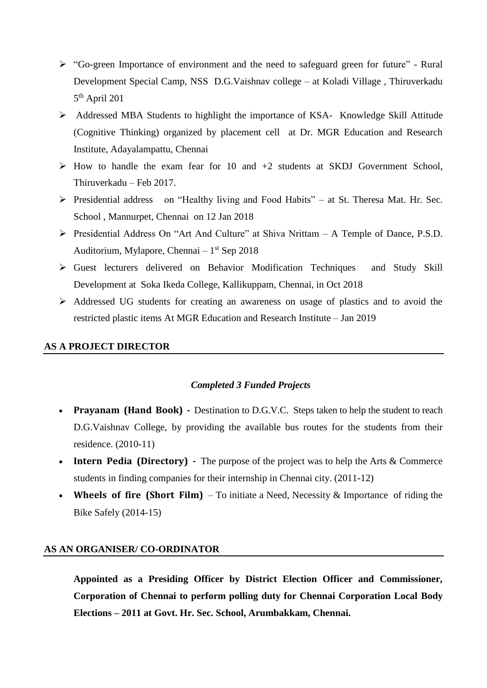- $\triangleright$  "Go-green Importance of environment and the need to safeguard green for future" Rural Development Special Camp, NSS D.G.Vaishnav college – at Koladi Village , Thiruverkadu 5 th April 201
- Addressed MBA Students to highlight the importance of KSA- Knowledge Skill Attitude (Cognitive Thinking) organized by placement cell at Dr. MGR Education and Research Institute, Adayalampattu, Chennai
- $\triangleright$  How to handle the exam fear for 10 and  $+2$  students at SKDJ Government School, Thiruverkadu – Feb 2017.
- Presidential address on "Healthy living and Food Habits" at St. Theresa Mat. Hr. Sec. School , Mannurpet, Chennai on 12 Jan 2018
- Presidential Address On "Art And Culture" at Shiva Nrittam A Temple of Dance, P.S.D. Auditorium, Mylapore, Chennai – 1 st Sep 2018
- Guest lecturers delivered on Behavior Modification Techniques and Study Skill Development at Soka Ikeda College, Kallikuppam, Chennai, in Oct 2018
- Addressed UG students for creating an awareness on usage of plastics and to avoid the restricted plastic items At MGR Education and Research Institute – Jan 2019

#### **AS A PROJECT DIRECTOR**

#### *Completed 3 Funded Projects*

- **Prayanam (Hand Book)** Destination to D.G.V.C. Steps taken to help the student to reach D.G.Vaishnav College, by providing the available bus routes for the students from their residence. (2010-11)
- **Intern Pedia (Directory)** The purpose of the project was to help the Arts & Commerce students in finding companies for their internship in Chennai city. (2011-12)
- **Wheels of fire (Short Film)**  To initiate a Need, Necessity & Importance of riding the Bike Safely (2014-15)

#### **AS AN ORGANISER/ CO-ORDINATOR**

**Appointed as a Presiding Officer by District Election Officer and Commissioner, Corporation of Chennai to perform polling duty for Chennai Corporation Local Body Elections – 2011 at Govt. Hr. Sec. School, Arumbakkam, Chennai.**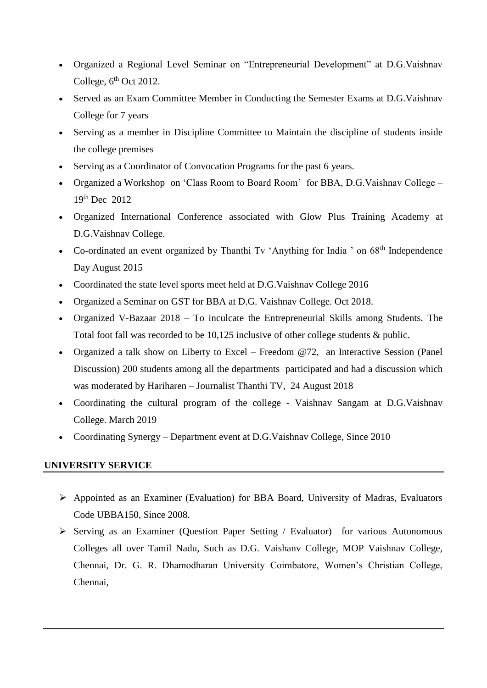- Organized a Regional Level Seminar on "Entrepreneurial Development" at D.G.Vaishnav College,  $6<sup>th</sup>$  Oct 2012.
- Served as an Exam Committee Member in Conducting the Semester Exams at D.G.Vaishnav College for 7 years
- Serving as a member in Discipline Committee to Maintain the discipline of students inside the college premises
- Serving as a Coordinator of Convocation Programs for the past 6 years.
- Organized a Workshop on 'Class Room to Board Room' for BBA, D.G.Vaishnav College 19th Dec 2012
- Organized International Conference associated with Glow Plus Training Academy at D.G.Vaishnav College.
- Co-ordinated an event organized by Thanthi Tv 'Anything for India ' on  $68<sup>th</sup>$  Independence Day August 2015
- Coordinated the state level sports meet held at D.G.Vaishnav College 2016
- Organized a Seminar on GST for BBA at D.G. Vaishnav College. Oct 2018.
- Organized V-Bazaar 2018 To inculcate the Entrepreneurial Skills among Students. The Total foot fall was recorded to be 10,125 inclusive of other college students & public.
- Organized a talk show on Liberty to Excel Freedom @72, an Interactive Session (Panel Discussion) 200 students among all the departments participated and had a discussion which was moderated by Hariharen – Journalist Thanthi TV, 24 August 2018
- Coordinating the cultural program of the college Vaishnav Sangam at D.G.Vaishnav College. March 2019
- Coordinating Synergy Department event at D.G.Vaishnav College, Since 2010

#### **UNIVERSITY SERVICE**

- Appointed as an Examiner (Evaluation) for BBA Board, University of Madras, Evaluators Code UBBA150, Since 2008.
- $\triangleright$  Serving as an Examiner (Question Paper Setting / Evaluator) for various Autonomous Colleges all over Tamil Nadu, Such as D.G. Vaishanv College, MOP Vaishnav College, Chennai, Dr. G. R. Dhamodharan University Coimbatore, Women's Christian College, Chennai,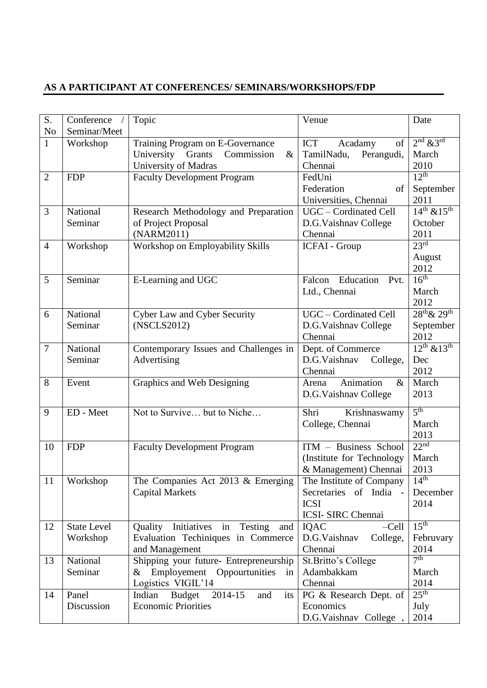## **AS A PARTICIPANT AT CONFERENCES/ SEMINARS/WORKSHOPS/FDP**

| S.             | Conference /                   | Topic                                                                          | Venue                                              | Date                                |
|----------------|--------------------------------|--------------------------------------------------------------------------------|----------------------------------------------------|-------------------------------------|
| No             | Seminar/Meet                   |                                                                                |                                                    | $2nd$ & $3rd$                       |
| $\mathbf{1}$   | Workshop                       | Training Program on E-Governance                                               | ICT<br>Acadamy<br>of                               |                                     |
|                |                                | University Grants<br>Commission<br>&                                           | TamilNadu,<br>Perangudi,                           | March                               |
|                |                                | University of Madras                                                           | Chennai                                            | 2010<br>$\overline{12^{th}}$        |
| $\overline{2}$ | <b>FDP</b>                     | <b>Faculty Development Program</b>                                             | FedUni                                             |                                     |
|                |                                |                                                                                | Federation<br>of                                   | September<br>2011                   |
|                | National                       |                                                                                | Universities, Chennai<br>UGC - Cordinated Cell     | $\overline{14^{th} \& 15^{th}}$     |
| 3              | Seminar                        | Research Methodology and Preparation                                           |                                                    | October                             |
|                |                                | of Project Proposal<br>(NARM2011)                                              | D.G.Vaishnav College<br>Chennai                    | 2011                                |
| $\overline{4}$ | Workshop                       | Workshop on Employability Skills                                               | <b>ICFAI</b> - Group                               | 23 <sup>rd</sup>                    |
|                |                                |                                                                                |                                                    | August                              |
|                |                                |                                                                                |                                                    | 2012                                |
| 5              | Seminar                        | E-Learning and UGC                                                             | Falcon Education Pvt.                              | 16 <sup>th</sup>                    |
|                |                                |                                                                                | Ltd., Chennai                                      | March                               |
|                |                                |                                                                                |                                                    | 2012                                |
| 6              | National                       | Cyber Law and Cyber Security                                                   | UGC - Cordinated Cell                              | 28 <sup>th</sup> & 29 <sup>th</sup> |
|                | Seminar                        | (NSCLS2012)                                                                    | D.G.Vaishnav College                               | September                           |
|                |                                |                                                                                | Chennai                                            | 2012                                |
| 7              | National                       | Contemporary Issues and Challenges in                                          | Dept. of Commerce                                  | $12^{th}$ & $13^{th}$               |
|                | Seminar                        | Advertising                                                                    | D.G.Vaishnav<br>College,                           | Dec                                 |
|                |                                |                                                                                | Chennai                                            | 2012                                |
| 8              | Event                          | Graphics and Web Designing                                                     | Animation<br>$\&$<br>Arena                         | March                               |
|                |                                |                                                                                | D.G.Vaishnav College                               | 2013                                |
|                |                                |                                                                                |                                                    |                                     |
| 9              | ED - Meet                      | Not to Survive but to Niche                                                    | Shri<br>Krishnaswamy                               | 5 <sup>th</sup>                     |
|                |                                |                                                                                | College, Chennai                                   | March                               |
|                |                                |                                                                                |                                                    | 2013                                |
| 10             | <b>FDP</b>                     | <b>Faculty Development Program</b>                                             | ITM - Business School                              | 22 <sup>nd</sup>                    |
|                |                                |                                                                                | (Institute for Technology                          | March                               |
|                |                                |                                                                                | & Management) Chennai                              | 2013                                |
| 11             | Workshop                       | The Companies Act 2013 $&$ Emerging                                            | The Institute of Company                           | 14 <sup>th</sup>                    |
|                |                                | <b>Capital Markets</b>                                                         | Secretaries of India -                             | December                            |
|                |                                |                                                                                | <b>ICSI</b>                                        | 2014                                |
|                |                                |                                                                                | <b>ICSI- SIRC Chennai</b>                          | $15^{\text{th}}$                    |
| 12             | <b>State Level</b><br>Workshop | Quality Initiatives in<br>Testing<br>and<br>Evaluation Techiniques in Commerce | <b>IQAC</b><br>$-Cell$<br>D.G.Vaishnav<br>College, | Februvary                           |
|                |                                |                                                                                | Chennai                                            | 2014                                |
| 13             | National                       | and Management<br>Shipping your future- Entrepreneurship                       | St. Britto's College                               | 7 <sup>th</sup>                     |
|                | Seminar                        | Employement Oppourtunities<br>$\&$<br>in                                       | Adambakkam                                         | March                               |
|                |                                | Logistics VIGIL'14                                                             | Chennai                                            | 2014                                |
| 14             | Panel                          | <b>Budget</b><br>Indian<br>2014-15<br>and<br>its                               | PG & Research Dept. of                             | 25 <sup>th</sup>                    |
|                | Discussion                     | <b>Economic Priorities</b>                                                     | Economics                                          | July                                |
|                |                                |                                                                                | D.G.Vaishnav College,                              | 2014                                |
|                |                                |                                                                                |                                                    |                                     |